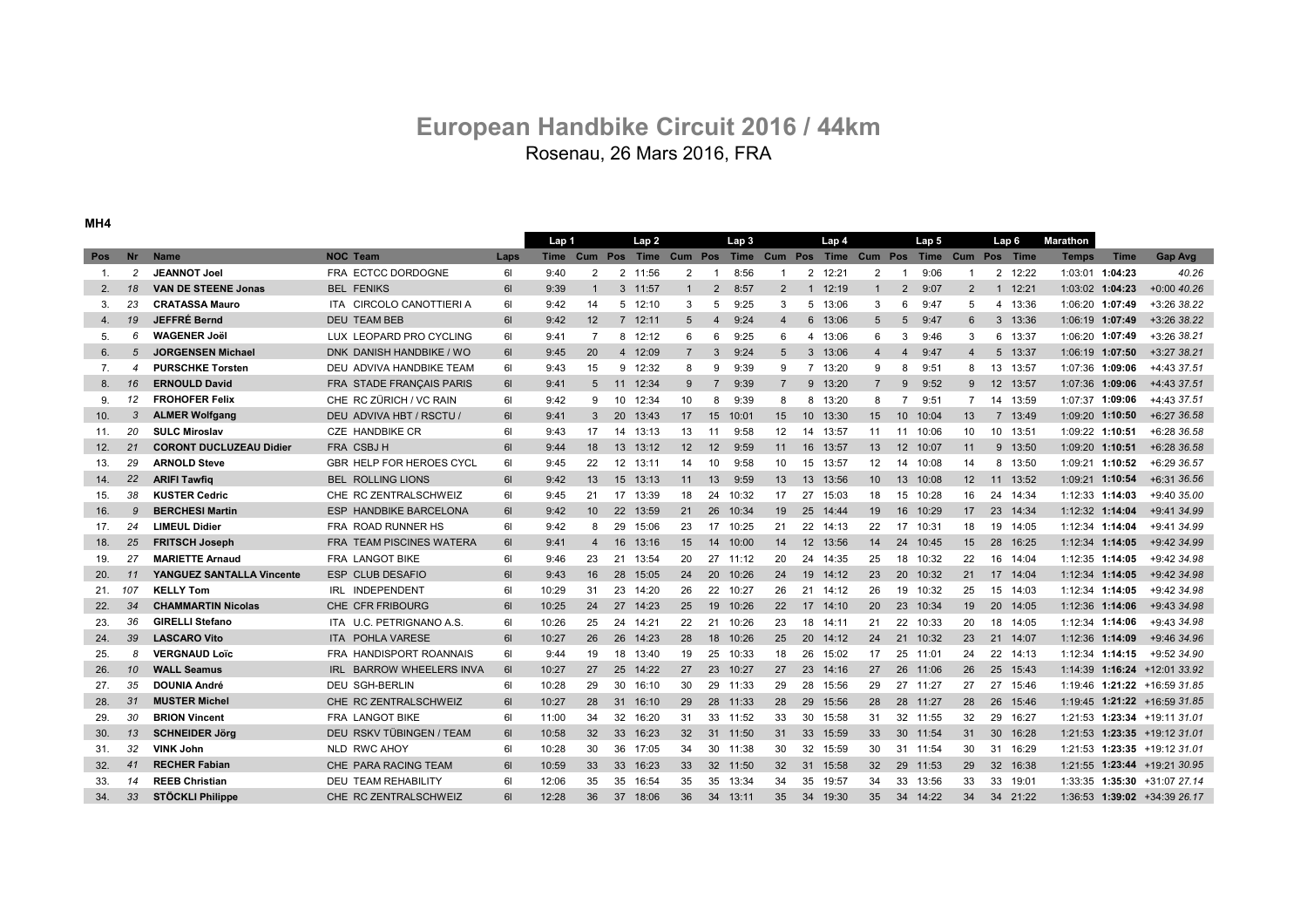# Rosenau, 26 Mars 2016, FRA **European Handbike Circuit 2016 / 44km**

**MH4**

|     |                |                                |                               |      | Lap 1       |                 |    | Lap 2           |                 |                | Lap3     |                                                                  |                 | Lap 4           |                |                         | Lap 5    |                |    | Lap 6           | <b>Marathon</b> |                   |                                 |
|-----|----------------|--------------------------------|-------------------------------|------|-------------|-----------------|----|-----------------|-----------------|----------------|----------|------------------------------------------------------------------|-----------------|-----------------|----------------|-------------------------|----------|----------------|----|-----------------|-----------------|-------------------|---------------------------------|
| Pos | <b>Nr</b>      | <b>Name</b>                    | <b>NOC Team</b>               | Laps | <b>Time</b> |                 |    |                 |                 |                |          | Cum Pos Time Cum Pos Time Cum Pos Time Cum Pos Time Cum Pos Time |                 |                 |                |                         |          |                |    |                 | <b>Temps</b>    | <b>Time</b>       | <b>Gap Avg</b>                  |
| -1. | $\overline{c}$ | <b>JEANNOT Joel</b>            | FRA ECTCC DORDOGNE            | 61   | 9:40        | $\overline{2}$  |    | 2 11:56         | 2               |                | 8:56     |                                                                  |                 | 2 12:21         | $\overline{2}$ |                         | 9:06     |                |    | 2 12:22         |                 | 1:03:01 1:04:23   | 40.26                           |
| 2.  | 18             | <b>VAN DE STEENE Jonas</b>     | <b>BEL FENIKS</b>             | 61   | 9:39        | $\mathbf{1}$    |    | $3 \quad 11:57$ | $\mathbf{1}$    | $\overline{2}$ | 8:57     | $\overline{2}$                                                   |                 | $1 \quad 12:19$ | $\mathbf{1}$   | $\overline{2}$          | 9:07     | 2              |    | $1 \quad 12:21$ |                 | 1:03:02 1:04:23   | $+0:00$ 40.26                   |
| 3.  | 23             | <b>CRATASSA Mauro</b>          | ITA CIRCOLO CANOTTIERI A      | 61   | 9:42        | 14              |    | $5$ 12:10       | 3               | 5              | 9:25     | 3                                                                |                 | 5 13:06         | 3              | 6                       | 9:47     | 5              |    | 4 13:36         |                 | 1:06:20 1:07:49   | +3:26 38.22                     |
| 4.  | 19             | JEFFRÉ Bernd                   | <b>DEU TEAM BEB</b>           | 61   | 9:42        | 12              |    | $7$ 12:11       | 5               | $\overline{4}$ | 9:24     | $\overline{4}$                                                   | $6^{\circ}$     | 13:06           | 5              | 5                       | 9:47     | 6              |    | 3 13:36         |                 | 1:06:19 1:07:49   | $+3:2638.22$                    |
| 5.  | 6              | <b>WAGENER Joël</b>            | LUX LEOPARD PRO CYCLING       | 61   | 9:41        | $\overline{7}$  |    | 8 12:12         | 6               | 6              | 9:25     | 6                                                                | 4               | 13:06           | 6              | 3                       | 9:46     | 3              |    | 6 13:37         |                 | 1:06:20 1:07:49   | $+3:2638.21$                    |
| 6.  | 5              | <b>JORGENSEN Michael</b>       | DNK DANISH HANDBIKE / WO      | 61   | 9:45        | 20              |    | 4 12:09         | $\overline{7}$  | 3              | 9:24     | 5                                                                | $\mathbf{3}$    | 13:06           | $\mathbf{A}$   | $\overline{\mathbf{A}}$ | 9:47     | $\overline{4}$ |    | 5 13:37         | 1:06:19         | 1:07:50           | $+3:2738.21$                    |
| 7.  | 4              | <b>PURSCHKE Torsten</b>        | DEU ADVIVA HANDBIKE TEAM      | 61   | 9:43        | 15              | 9  | 12:32           | 8               | 9              | 9:39     | 9                                                                | 7               | 13:20           | 9              | 8                       | 9:51     | 8              |    | 13 13:57        |                 | 1:07:36 1:09:06   | +4:43 37.51                     |
| 8.  | 16             | <b>ERNOULD David</b>           | FRA STADE FRANÇAIS PARIS      | 61   | 9:41        | 5               | 11 | 12:34           | 9               | $\overline{7}$ | 9:39     | $\overline{7}$                                                   | 9               | 13:20           | $\overline{7}$ | 9                       | 9:52     | 9              |    | 12 13:57        |                 | 1:07:36 1:09:06   | +4:43 37.51                     |
| 9.  | 12             | <b>FROHOFER Felix</b>          | CHE RC ZÜRICH / VC RAIN       | 61   | 9:42        | <sub>9</sub>    | 10 | 12:34           | 10              | 8              | 9:39     | 8                                                                | 8               | 13:20           | 8              | $\overline{7}$          | 9:51     | $\overline{7}$ |    | 14 13:59        |                 | 1:07:37 1:09:06   | +4:43 37.51                     |
| 10. | $\mathcal{R}$  | <b>ALMER Wolfgang</b>          | DEU ADVIVA HBT / RSCTU /      | 61   | 9:41        | 3               | 20 | 13:43           | 17              | 15             | 10:01    | 15                                                               | 10 <sup>1</sup> | 13:30           | 15             | 10 <sup>1</sup>         | 10:04    | 13             |    | 7 13:49         |                 | 1:09:20 1:10:50   | +6:27 36.58                     |
| 11. | 20             | <b>SULC Miroslav</b>           | CZE HANDBIKE CR               | 61   | 9:43        | 17              | 14 | 13:13           | 13              | 11             | 9:58     | 12                                                               | 14              | 13:57           | 11             | 11                      | 10:06    | 10             |    | 10 13:51        |                 | 1:09:22 1:10:51   | +6:28 36.58                     |
| 12. | 21             | <b>CORONT DUCLUZEAU Didier</b> | FRA CSBJ H                    | 61   | 9:44        | 18              | 13 | 13:12           | 12              | 12             | 9:59     | 11                                                               | 16              | 13:57           | 13             | 12                      | 10:07    | 11             |    | 9 13:50         |                 | 1:09:20 1:10:51   | $+6:2836.58$                    |
| 13. | 29             | <b>ARNOLD Steve</b>            | GBR HELP FOR HEROES CYCL      | 61   | 9:45        | 22              | 12 | 13:11           | 14              | 10             | 9:58     | 10                                                               | 15              | 13:57           | 12             | 14                      | 10:08    | 14             |    | 8 13:50         |                 | 1:09:21 1:10:52   | +6:29 36.57                     |
| 14. | 22             | <b>ARIFI Tawfig</b>            | <b>BEL ROLLING LIONS</b>      | 61   | 9:42        | 13              | 15 | 13:13           | 11              | 13             | 9:59     | 13                                                               | 13              | 13:56           | 10             | 13                      | 10:08    | 12             |    | 11 13:52        |                 | 1:09:21 1:10:54   | $+6:3136.56$                    |
| 15. | 38             | <b>KUSTER Cedric</b>           | CHE RC ZENTRALSCHWEIZ         | 61   | 9:45        | 21              | 17 | 13:39           | 18              | 24             | 10:32    | 17                                                               | 27              | 15:03           | 18             | 15                      | 10:28    | 16             |    | 24 14:34        |                 | 1:12:33 1:14:03   | +9:40 35.00                     |
| 16. | 9              | <b>BERCHESI Martin</b>         | <b>ESP HANDBIKE BARCELONA</b> | 61   | 9:42        | 10 <sup>1</sup> | 22 | 13:59           | 21              | 26             | 10:34    | 19                                                               | 25              | 14:44           | 19             | 16                      | 10:29    | 17             |    | 23 14:34        |                 | 1:12:32 1:14:04   | +9:41 34.99                     |
| 17. | 24             | <b>LIMEUL Didier</b>           | FRA ROAD RUNNER HS            | 61   | 9:42        | 8               | 29 | 15:06           | 23              |                | 17 10:25 | 21                                                               |                 | 22 14:13        | 22             | 17                      | 10:31    | 18             |    | 19 14:05        |                 | 1:12:34 1:14:04   | +9:41 34.99                     |
| 18. | 25             | <b>FRITSCH Joseph</b>          | FRA TEAM PISCINES WATERA      | 61   | 9:41        | $\overline{4}$  | 16 | 13:16           | 15              | 14             | 10:00    | 14                                                               |                 | 12 13:56        | 14             | 24                      | 10:45    | 15             | 28 | 16:25           |                 | $1:12:34$ 1:14:05 | +9:42 34.99                     |
| 19. | 27             | <b>MARIETTE Arnaud</b>         | FRA LANGOT BIKE               | 61   | 9:46        | 23              | 21 | 13:54           | 20              | 27             | 11:12    | 20                                                               |                 | 24 14:35        | 25             | 18                      | 10:32    | 22             | 16 | 14:04           |                 | 1:12:35 1:14:05   | +9:42 34.98                     |
| 20. | 11             | YANGUEZ SANTALLA Vincente      | <b>ESP CLUB DESAFIO</b>       | 61   | 9:43        | 16              | 28 | 15:05           | 24              | 20             | 10:26    | 24                                                               | 19              | 14:12           | 23             | 20                      | 10:32    | 21             |    | 17 14:04        |                 | $1:12:34$ 1:14:05 | +9:42 34.98                     |
| 21. | 107            | <b>KELLY Tom</b>               | IRL INDEPENDENT               | 61   | 10:29       | 31              | 23 | 14:20           | 26              | 22             | 10:27    | 26                                                               | 21              | 14:12           | 26             | 19                      | 10:32    | 25             | 15 | 14:03           |                 | 1:12:34 1:14:05   | +9:42 34.98                     |
| 22. | 34             | <b>CHAMMARTIN Nicolas</b>      | CHE CFR FRIBOURG              | 61   | 10:25       | 24              | 27 | 14:23           | 25              | 19             | 10:26    | 22                                                               | 17              | 14:10           | 20             | 23                      | 10:34    | 19             | 20 | 14:05           |                 | 1:12:36 1:14:06   | +9:43 34.98                     |
| 23. | 36             | <b>GIRELLI Stefano</b>         | ITA U.C. PETRIGNANO A.S.      | 61   | 10:26       | 25              | 24 | 14:21           | 22              | 21             | 10:26    | 23                                                               | 18              | 14:11           | 21             | 22                      | 10:33    | 20             | 18 | 14:05           |                 | 1:12:34 1:14:06   | +9:43 34.98                     |
| 24. | 39             | <b>LASCARO Vito</b>            | <b>ITA POHLA VARESE</b>       | 61   | 10:27       | 26              | 26 | 14:23           | 28              |                | 18 10:26 | 25                                                               | 20              | 14:12           | 24             | 21                      | 10:32    | 23             |    | 21 14:07        |                 | 1:12:36 1:14:09   | +9:46 34.96                     |
| 25. | 8              | <b>VERGNAUD Loïc</b>           | FRA HANDISPORT ROANNAIS       | 61   | 9:44        | 19              | 18 | 13:40           | 19              | 25             | 10:33    | 18                                                               | 26              | 15:02           | 17             | 25                      | 11:01    | 24             |    | 22 14:13        |                 | $1:12:34$ 1:14:15 | +9:52 34.90                     |
| 26. | 10             | <b>WALL Seamus</b>             | IRL BARROW WHEELERS INVA      | 61   | 10:27       | 27              | 25 | 14:22           | 27              | 23             | 10:27    | 27                                                               | 23              | 14:16           | 27             | 26                      | 11:06    | 26             |    | 25 15:43        |                 |                   | 1:14:39  1:16:24  +12:01  33.92 |
| 27. | 35             | <b>DOUNIA André</b>            | <b>DEU SGH-BERLIN</b>         | 61   | 10:28       | 29              | 30 | 16:10           | 30              | 29             | 11:33    | 29                                                               | 28              | 15:56           | 29             |                         | 27 11:27 | 27             |    | 27 15:46        |                 |                   | 1:19:46 1:21:22 +16:59 31.85    |
| 28. | 31             | <b>MUSTER Michel</b>           | CHE RC ZENTRALSCHWEIZ         | 61   | 10:27       | 28              | 31 | 16:10           | 29              |                | 28 11:33 | 28                                                               | 29              | 15:56           | 28             |                         | 28 11:27 | 28             | 26 | 15:46           |                 |                   | 1:19:45 1:21:22 +16:59 31.85    |
| 29. | 30             | <b>BRION Vincent</b>           | FRA LANGOT BIKE               | 61   | 11:00       | 34              | 32 | 16:20           | 31              |                | 33 11:52 | 33                                                               |                 | 30 15:58        | 31             |                         | 32 11:55 | 32             |    | 29 16:27        |                 |                   | 1:21:53 1:23:34 +19:11 31.01    |
| 30. | 13             | <b>SCHNEIDER Jörg</b>          | DEU RSKV TÜBINGEN / TEAM      | 61   | 10:58       | 32              | 33 | 16:23           | 32 <sup>2</sup> |                | 31 11:50 | 31                                                               |                 | 33 15:59        | 33             |                         | 30 11:54 | 31             |    | 30 16:28        |                 |                   | 1:21:53 1:23:35 +19:12 31.01    |
| 31. | 32             | <b>VINK John</b>               | <b>NLD RWC AHOY</b>           | 61   | 10:28       | 30              | 36 | 17:05           | 34              |                | 30 11:38 | 30                                                               | 32              | 15:59           | 30             |                         | 31 11:54 | 30             | 31 | 16:29           |                 |                   | 1:21:53 1:23:35 +19:12 31.01    |
| 32. | 41             | <b>RECHER Fabian</b>           | CHE PARA RACING TEAM          | 61   | 10:59       | 33              | 33 | 16:23           | 33              | 32             | 11:50    | 32                                                               | 31              | 15:58           | 32             | 29                      | 11:53    | 29             | 32 | 16:38           | 1:21:55         |                   | $1:23:44$ +19:21 30.95          |
| 33. | 14             | <b>REEB Christian</b>          | <b>DEU TEAM REHABILITY</b>    | 61   | 12:06       | 35              | 35 | 16:54           | 35              | 35             | 13:34    | 34                                                               | 35              | 19:57           | 34             | 33                      | 13:56    | 33             | 33 | 19:01           |                 |                   | 1:33:35 1:35:30 +31:07 27.14    |
| 34. | 33             | <b>STÖCKLI Philippe</b>        | CHE RC ZENTRALSCHWEIZ         | 61   | 12:28       | 36              | 37 | 18:06           | 36              | 34             | 13:11    | 35                                                               | 34              | 19:30           | 35             | 34                      | 14:22    | 34             | 34 | 21:22           |                 |                   | 1:36:53 1:39:02 +34:39 26.17    |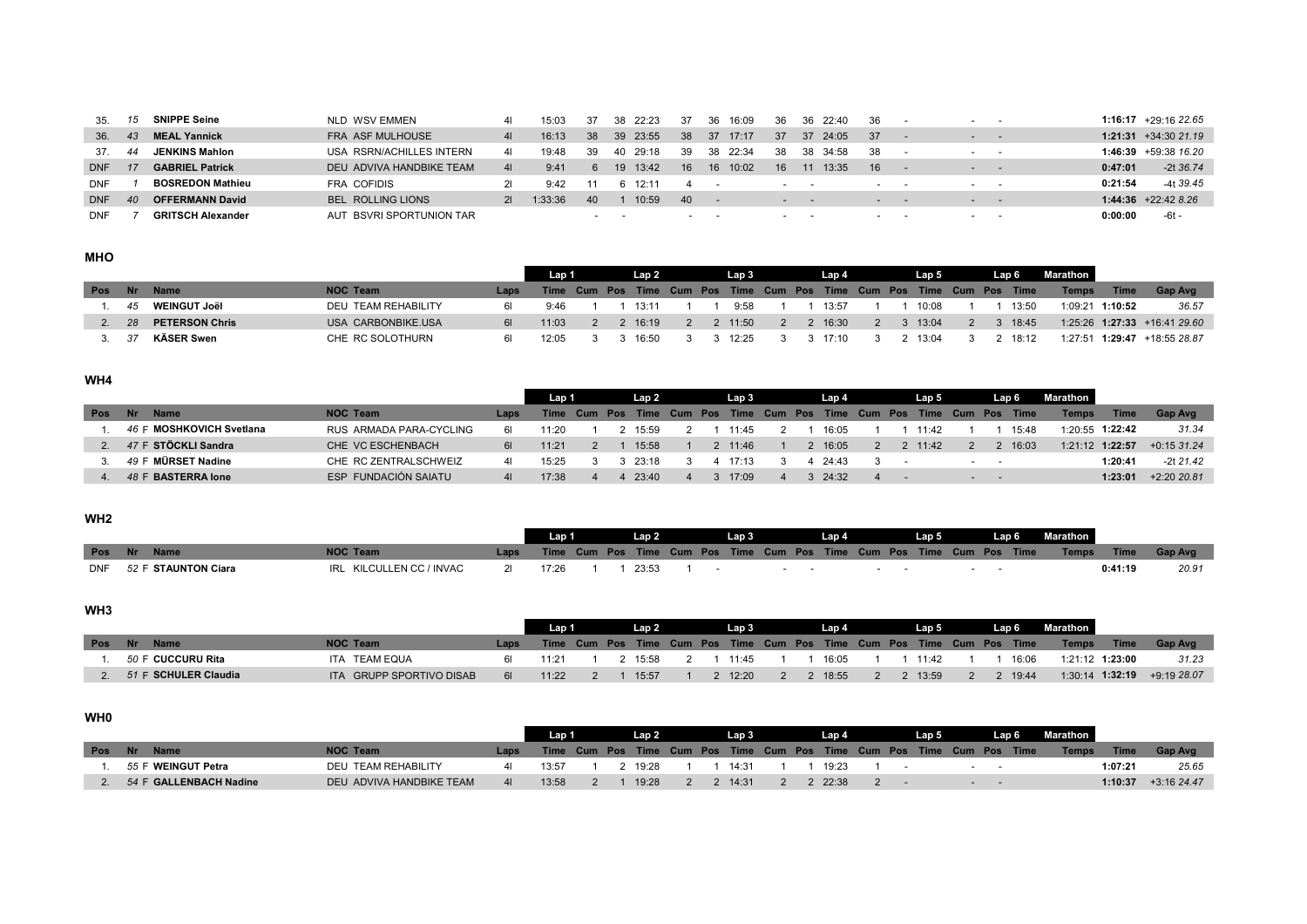| 35.        |                 | <b>SNIPPE Seine</b>      | NLD WSV EMMEN            |                | 15:03   | -37                      | 38            | 22:23 | -37                      | 16:09<br>-36  | 36 | 36 22:40           |       | -36                        | $\sim$                   | $\overline{\phantom{a}}$ | $\sim$ $\sim$                |         | $1:16:17 + 29:1622.65$ |
|------------|-----------------|--------------------------|--------------------------|----------------|---------|--------------------------|---------------|-------|--------------------------|---------------|----|--------------------|-------|----------------------------|--------------------------|--------------------------|------------------------------|---------|------------------------|
| 36.        | 43              | <b>MEAL Yannick</b>      | FRA ASF MULHOUSE         |                | 16.13   | -38                      | 39            | 23:55 | 38                       | 17:17<br>- 37 | 37 | 37                 | 24.05 | 37                         | $\overline{\phantom{a}}$ |                          | $\sim 100$ km s $^{-1}$      |         | $1:21:31 + 34:3021.19$ |
| 37.        | 44              | <b>JENKINS Mahlon</b>    | USA RSRN/ACHILLES INTERN |                | 19:48   | 39.                      | -40           | 29:18 | 39                       | 22:34<br>38   | 38 | 38.                | 34:58 | -38                        | $\sim$                   |                          | $\sim$ $\sim$                |         | $1:46:39 + 59:3816.20$ |
| <b>DNF</b> |                 | <b>GABRIEL Patrick</b>   | DEU ADVIVA HANDBIKE TEAM |                | 9:41    |                          | 19            | 13:42 | 16                       | 10:02<br>16   | 16 | 11 13:35           |       | 16                         | . .                      |                          |                              | 0:47:01 | $-2t$ 36.74            |
| DNF        |                 | <b>BOSREDON Mathieu</b>  | FRA COFIDIS              |                | 9.42    |                          |               |       |                          | $\sim$ $\sim$ |    | the company of the |       | the company of the company |                          |                          | $\sim$ $\sim$                | 0:21:54 | -4t 39.45              |
| <b>DNF</b> | 40 <sup>°</sup> | <b>OFFERMANN David</b>   | <b>BEL ROLLING LIONS</b> | $\overline{2}$ | 1:33:36 | 40                       |               | 10:59 | 40                       |               |    |                    |       |                            |                          |                          | $\sim$ 100 $\sim$ 100 $\sim$ |         | $1:44:36$ +22:42 8.26  |
| <b>DNF</b> |                 | <b>GRITSCH Alexander</b> | AUT BSVRI SPORTUNION TAR |                |         | $\overline{\phantom{a}}$ | $\sim$ $\sim$ |       | $\overline{\phantom{0}}$ | $\sim$ $\sim$ |    | $ -$               |       |                            |                          |                          |                              | 0.00:00 | -6t -                  |

#### **MHO**

|            |           |                       |                     | Lap 1                                                                 |  | Lap 2     |  | Lap 3     |  | Lap 4             |  | Lap 5     |           | Lap 6 | Marathon     |                 |                              |
|------------|-----------|-----------------------|---------------------|-----------------------------------------------------------------------|--|-----------|--|-----------|--|-------------------|--|-----------|-----------|-------|--------------|-----------------|------------------------------|
| <b>Pos</b> | <b>Nr</b> | <b>Name</b>           | <b>NOC Team</b>     | Time Cum Pos Time Cum Pos Time Cum Pos Time Cum Pos Time Cum Pos Time |  |           |  |           |  |                   |  |           |           |       | <b>Temps</b> | Time            | <b>Gap Avg</b>               |
|            | 45        | <b>WEINGUT Joël</b>   | DEU TEAM REHABILITY | 9.46                                                                  |  | 13:11     |  | $9:58$ 1  |  | 13:57             |  | 10:08     |           | 13:50 |              | 1:09:21 1:10:52 | 36.57                        |
|            | -28       | <b>PETERSON Chris</b> | USA CARBONBIKE.USA  | 11:03                                                                 |  | 2 2 16:19 |  | 2 2 11:50 |  | 2 2 16:30         |  | 2 3 13:04 | 2 3 18:45 |       |              |                 |                              |
|            | -37       | <b>KÄSER Swen</b>     | CHE RC SOLOTHURN    | 12.05.                                                                |  | 3 3 16:50 |  |           |  | 3 12:25 3 3 17:10 |  | 3 2 13:04 | 3 2 18:12 |       |              |                 | 1:27:51 1:29:47 +18:55 28.87 |

## **WH4**

|            |                          |                         |      | Lap <sub>1</sub> |  | Lap 2 |  | Lap 3   |  | Lap 4                                                                 |        | Lap 5 |                            | Lap 6 | Marathon          |                   |                |
|------------|--------------------------|-------------------------|------|------------------|--|-------|--|---------|--|-----------------------------------------------------------------------|--------|-------|----------------------------|-------|-------------------|-------------------|----------------|
| <b>Pos</b> | <b>Name</b>              | <b>NOC Team</b>         | Laps |                  |  |       |  |         |  | Time Cum Pos Time Cum Pos Time Cum Pos Time Cum Pos Time Cum Pos Time |        |       |                            |       | <b>Temps</b>      | <b>Time</b>       | <b>Gap Avg</b> |
|            | 46 F MOSHKOVICH Svetlana | RUS ARMADA PARA-CYCLING |      | 11.20            |  | 15:59 |  | 11:45   |  | 16:05                                                                 |        | 11.42 |                            | 15.48 |                   | $1:20:55$ 1:22:42 | 31.34          |
|            | 47 F STÖCKLI Sandra      | CHE VC ESCHENBACH       |      | 11:21            |  | 15:58 |  | 2 11:46 |  | 2 16:05                                                               |        | 11:42 |                            | 16:03 | $1:21:12$ 1:22:57 |                   | $+0:1531.24$   |
|            | 49 F MÜRSET Nadine       | CHE RC ZENTRALSCHWEIZ   |      |                  |  | 23:18 |  | 17.13   |  | 24:43                                                                 | $\sim$ |       | the company of the company |       |                   | 1:20:41           | $-2t$ 21.42    |
|            | 48 F BASTERRA lone       | ESP FUNDACIÓN SAIATU    |      | 17:38            |  | 23:40 |  | 17:09   |  | 24:32                                                                 | $\sim$ |       |                            |       |                   | 1:23:01           | $+2:2020.81$   |

#### **WH2**

|                                   |                                 |      |                                                                       |  | Lan 2 |  | Lan 3 |  | Lan 4 |  | Lap 5 |  | . Lap 6 1 | Marathon 1   |             |         |
|-----------------------------------|---------------------------------|------|-----------------------------------------------------------------------|--|-------|--|-------|--|-------|--|-------|--|-----------|--------------|-------------|---------|
| <b>Pos</b><br>- Nr<br><b>Name</b> | <b>NOC Team</b>                 | Laps | Time Cum Pos Time Cum Pos Time Cum Pos Time Cum Pos Time Cum Pos Time |  |       |  |       |  |       |  |       |  |           | <b>Temps</b> | <b>Time</b> | Gap Avg |
| 52 F STAUNTON Ciara<br><b>DNF</b> | ∟ KILCULLEN CC / INVAC I<br>IRL |      | 17.26                                                                 |  | 23:53 |  |       |  |       |  |       |  |           |              | 0:41:19     | 20.91   |

# **WH3**

|     |                      |                                 |      | Lan 1 |  | Lap 2 |  | Lap 3                   |              | Lap 4                 |  | Lap 5         |  | Lap 6   | Marathon                                                                              |                 |                |
|-----|----------------------|---------------------------------|------|-------|--|-------|--|-------------------------|--------------|-----------------------|--|---------------|--|---------|---------------------------------------------------------------------------------------|-----------------|----------------|
| Pos | - Nr<br><b>Name</b>  | <b>NOC Team</b>                 |      |       |  |       |  |                         |              |                       |  |               |  |         | Laps Time Cum Pos Time Cum Pos Time Cum Pos Time Cum Pos Time Cum Pos Time Temps Time |                 | <b>Gap Avg</b> |
|     | 50 F CUCCURU Rita    | ITA TEAM EQUA                   | 61   | 11.21 |  |       |  | 1 2 15:58 2 1 11:45 1 1 |              | 16:05  1  1  11:42  1 |  |               |  | 16:06   |                                                                                       | 1:21:12 1:23:00 | 31.23          |
|     | 51 F SCHULER Claudia | <b>ITA GRUPP SPORTIVO DISAB</b> | - 61 | 11:22 |  | 15:57 |  | $2 \quad 12:20$         | <sup>2</sup> | 2 18:55               |  | $2 \t13:59$ 2 |  | 2 19:44 | $1:30:14$ 1:32:19                                                                     |                 | +9:19 28.07    |

## **WH0**

|            |                          |                          |    | ' Lan 1                                                               |  | Lan 2        |  | Lap 3           |  | Lap 4   |  | Lap 5 |  | Lap 6 | Marathon     |             |              |
|------------|--------------------------|--------------------------|----|-----------------------------------------------------------------------|--|--------------|--|-----------------|--|---------|--|-------|--|-------|--------------|-------------|--------------|
| <b>Pos</b> | <b>Nr</b><br><b>Name</b> | <b>NOC Team</b>          |    | Time Cum Pos Time Cum Pos Time Cum Pos Time Cum Pos Time Cum Pos Time |  |              |  |                 |  |         |  |       |  |       | <b>Temps</b> | <b>Time</b> | Gap Avg      |
|            | 55 F WEINGUT Petra       | DEU TEAM REHABILITY      | 41 | 13:57                                                                 |  | $28$ 19:28 1 |  | 1 14:31 1       |  | 19.23   |  |       |  |       |              | 1:07:21     | 25.65        |
|            | 54 F GALLENBACH Nadine   | DEU ADVIVA HANDBIKE TEAM | 41 | 13:58                                                                 |  |              |  | 19:28 2 2 14:31 |  | 2 22:38 |  |       |  |       |              | 1:10:37     | $+3:1624.47$ |